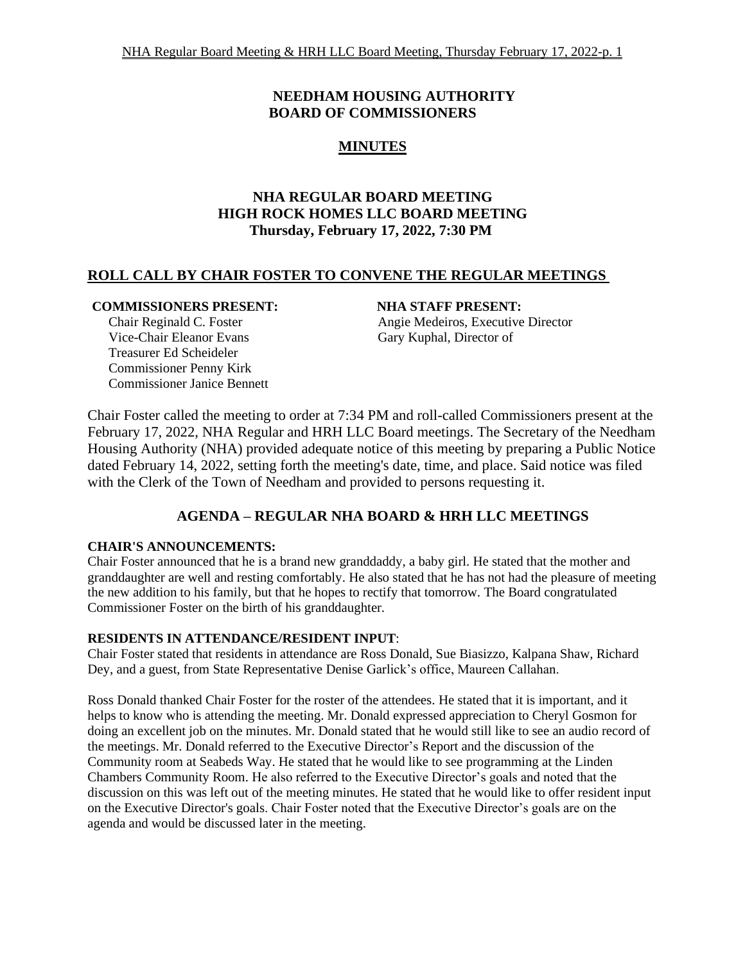# **NEEDHAM HOUSING AUTHORITY BOARD OF COMMISSIONERS**

# **MINUTES**

# **NHA REGULAR BOARD MEETING HIGH ROCK HOMES LLC BOARD MEETING Thursday, February 17, 2022, 7:30 PM**

# **ROLL CALL BY CHAIR FOSTER TO CONVENE THE REGULAR MEETINGS**

## **COMMISSIONERS PRESENT: NHA STAFF PRESENT:**

Vice-Chair Eleanor Evans Gary Kuphal, Director of Treasurer Ed Scheideler Commissioner Penny Kirk Commissioner Janice Bennett

Chair Reginald C. Foster **Angie Medeiros, Executive Director** Angie Medeiros, Executive Director

Chair Foster called the meeting to order at 7:34 PM and roll-called Commissioners present at the February 17, 2022, NHA Regular and HRH LLC Board meetings. The Secretary of the Needham Housing Authority (NHA) provided adequate notice of this meeting by preparing a Public Notice dated February 14, 2022, setting forth the meeting's date, time, and place. Said notice was filed with the Clerk of the Town of Needham and provided to persons requesting it.

# **AGENDA – REGULAR NHA BOARD & HRH LLC MEETINGS**

## **CHAIR'S ANNOUNCEMENTS:**

Chair Foster announced that he is a brand new granddaddy, a baby girl. He stated that the mother and granddaughter are well and resting comfortably. He also stated that he has not had the pleasure of meeting the new addition to his family, but that he hopes to rectify that tomorrow. The Board congratulated Commissioner Foster on the birth of his granddaughter.

# **RESIDENTS IN ATTENDANCE/RESIDENT INPUT**:

Chair Foster stated that residents in attendance are Ross Donald, Sue Biasizzo, Kalpana Shaw, Richard Dey, and a guest, from State Representative Denise Garlick's office, Maureen Callahan.

Ross Donald thanked Chair Foster for the roster of the attendees. He stated that it is important, and it helps to know who is attending the meeting. Mr. Donald expressed appreciation to Cheryl Gosmon for doing an excellent job on the minutes. Mr. Donald stated that he would still like to see an audio record of the meetings. Mr. Donald referred to the Executive Director's Report and the discussion of the Community room at Seabeds Way. He stated that he would like to see programming at the Linden Chambers Community Room. He also referred to the Executive Director's goals and noted that the discussion on this was left out of the meeting minutes. He stated that he would like to offer resident input on the Executive Director's goals. Chair Foster noted that the Executive Director's goals are on the agenda and would be discussed later in the meeting.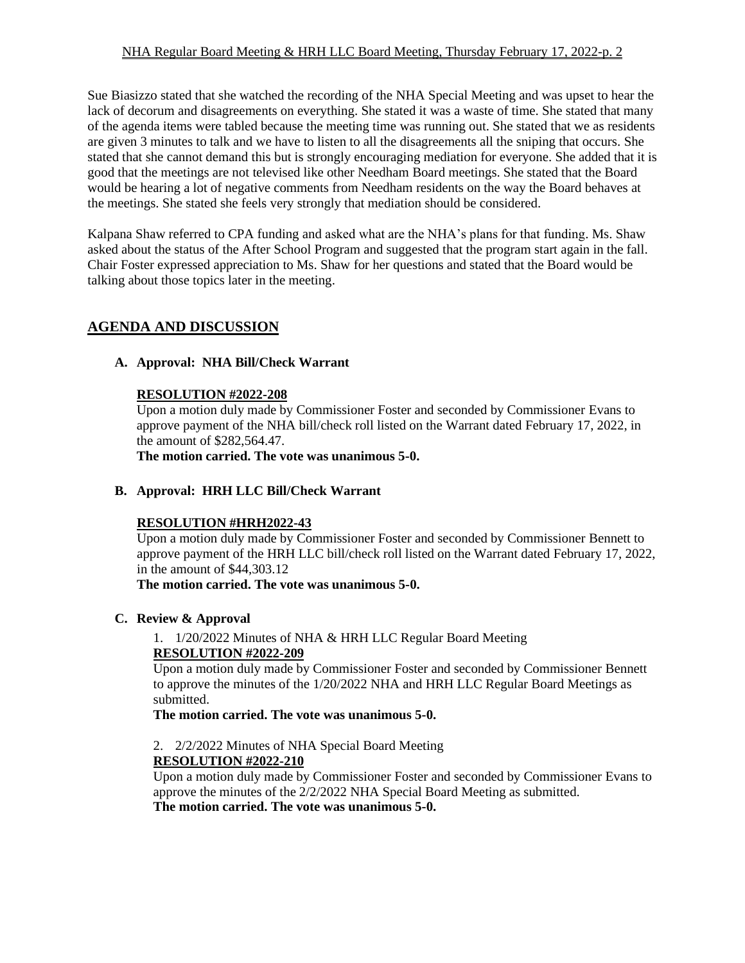## NHA Regular Board Meeting & HRH LLC Board Meeting, Thursday February 17, 2022-p. 2

Sue Biasizzo stated that she watched the recording of the NHA Special Meeting and was upset to hear the lack of decorum and disagreements on everything. She stated it was a waste of time. She stated that many of the agenda items were tabled because the meeting time was running out. She stated that we as residents are given 3 minutes to talk and we have to listen to all the disagreements all the sniping that occurs. She stated that she cannot demand this but is strongly encouraging mediation for everyone. She added that it is good that the meetings are not televised like other Needham Board meetings. She stated that the Board would be hearing a lot of negative comments from Needham residents on the way the Board behaves at the meetings. She stated she feels very strongly that mediation should be considered.

Kalpana Shaw referred to CPA funding and asked what are the NHA's plans for that funding. Ms. Shaw asked about the status of the After School Program and suggested that the program start again in the fall. Chair Foster expressed appreciation to Ms. Shaw for her questions and stated that the Board would be talking about those topics later in the meeting.

# **AGENDA AND DISCUSSION**

# **A. Approval: NHA Bill/Check Warrant**

## **RESOLUTION #2022-208**

Upon a motion duly made by Commissioner Foster and seconded by Commissioner Evans to approve payment of the NHA bill/check roll listed on the Warrant dated February 17, 2022, in the amount of \$282,564.47.

**The motion carried. The vote was unanimous 5-0.**

## **B. Approval: HRH LLC Bill/Check Warrant**

## **RESOLUTION #HRH2022-43**

Upon a motion duly made by Commissioner Foster and seconded by Commissioner Bennett to approve payment of the HRH LLC bill/check roll listed on the Warrant dated February 17, 2022, in the amount of \$44,303.12

**The motion carried. The vote was unanimous 5-0.**

## **C. Review & Approval**

1. 1/20/2022 Minutes of NHA & HRH LLC Regular Board Meeting **RESOLUTION #2022-209**

Upon a motion duly made by Commissioner Foster and seconded by Commissioner Bennett to approve the minutes of the 1/20/2022 NHA and HRH LLC Regular Board Meetings as submitted.

**The motion carried. The vote was unanimous 5-0.**

2. 2/2/2022 Minutes of NHA Special Board Meeting

## **RESOLUTION #2022-210**

Upon a motion duly made by Commissioner Foster and seconded by Commissioner Evans to approve the minutes of the 2/2/2022 NHA Special Board Meeting as submitted. **The motion carried. The vote was unanimous 5-0.**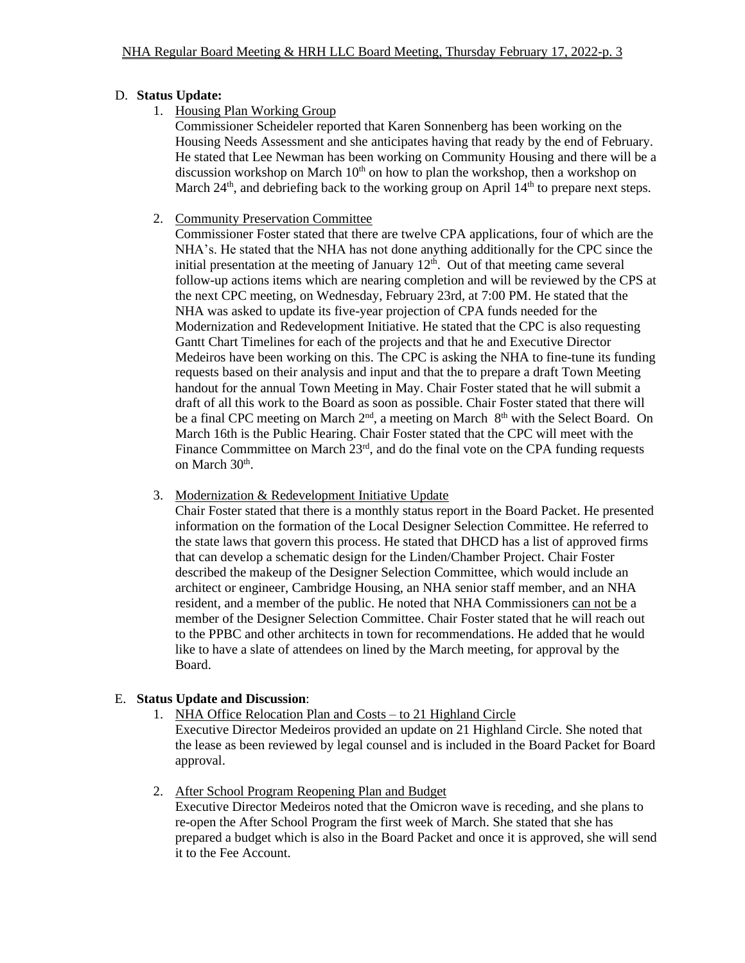## D. **Status Update:**

1. Housing Plan Working Group

Commissioner Scheideler reported that Karen Sonnenberg has been working on the Housing Needs Assessment and she anticipates having that ready by the end of February. He stated that Lee Newman has been working on Community Housing and there will be a discussion workshop on March  $10<sup>th</sup>$  on how to plan the workshop, then a workshop on March  $24<sup>th</sup>$ , and debriefing back to the working group on April  $14<sup>th</sup>$  to prepare next steps.

2. Community Preservation Committee

Commissioner Foster stated that there are twelve CPA applications, four of which are the NHA's. He stated that the NHA has not done anything additionally for the CPC since the initial presentation at the meeting of January  $12<sup>th</sup>$ . Out of that meeting came several follow-up actions items which are nearing completion and will be reviewed by the CPS at the next CPC meeting, on Wednesday, February 23rd, at 7:00 PM. He stated that the NHA was asked to update its five-year projection of CPA funds needed for the Modernization and Redevelopment Initiative. He stated that the CPC is also requesting Gantt Chart Timelines for each of the projects and that he and Executive Director Medeiros have been working on this. The CPC is asking the NHA to fine-tune its funding requests based on their analysis and input and that the to prepare a draft Town Meeting handout for the annual Town Meeting in May. Chair Foster stated that he will submit a draft of all this work to the Board as soon as possible. Chair Foster stated that there will be a final CPC meeting on March  $2<sup>nd</sup>$ , a meeting on March  $8<sup>th</sup>$  with the Select Board. On March 16th is the Public Hearing. Chair Foster stated that the CPC will meet with the Finance Commmittee on March 23<sup>rd</sup>, and do the final vote on the CPA funding requests on March 30<sup>th</sup>.

3. Modernization & Redevelopment Initiative Update

Chair Foster stated that there is a monthly status report in the Board Packet. He presented information on the formation of the Local Designer Selection Committee. He referred to the state laws that govern this process. He stated that DHCD has a list of approved firms that can develop a schematic design for the Linden/Chamber Project. Chair Foster described the makeup of the Designer Selection Committee, which would include an architect or engineer, Cambridge Housing, an NHA senior staff member, and an NHA resident, and a member of the public. He noted that NHA Commissioners can not be a member of the Designer Selection Committee. Chair Foster stated that he will reach out to the PPBC and other architects in town for recommendations. He added that he would like to have a slate of attendees on lined by the March meeting, for approval by the Board.

# E. **Status Update and Discussion**:

- 1. NHA Office Relocation Plan and Costs to 21 Highland Circle Executive Director Medeiros provided an update on 21 Highland Circle. She noted that the lease as been reviewed by legal counsel and is included in the Board Packet for Board approval.
- 2. After School Program Reopening Plan and Budget

Executive Director Medeiros noted that the Omicron wave is receding, and she plans to re-open the After School Program the first week of March. She stated that she has prepared a budget which is also in the Board Packet and once it is approved, she will send it to the Fee Account.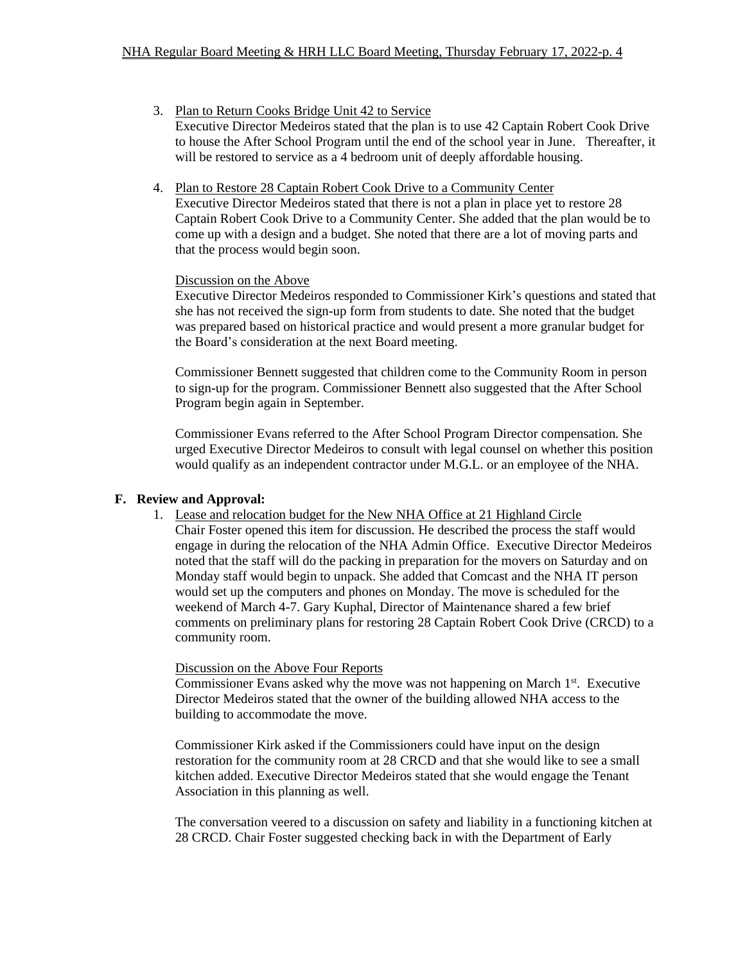- 3. Plan to Return Cooks Bridge Unit 42 to Service Executive Director Medeiros stated that the plan is to use 42 Captain Robert Cook Drive to house the After School Program until the end of the school year in June. Thereafter, it will be restored to service as a 4 bedroom unit of deeply affordable housing.
- 4. Plan to Restore 28 Captain Robert Cook Drive to a Community Center Executive Director Medeiros stated that there is not a plan in place yet to restore 28 Captain Robert Cook Drive to a Community Center. She added that the plan would be to come up with a design and a budget. She noted that there are a lot of moving parts and that the process would begin soon.

#### Discussion on the Above

Executive Director Medeiros responded to Commissioner Kirk's questions and stated that she has not received the sign-up form from students to date. She noted that the budget was prepared based on historical practice and would present a more granular budget for the Board's consideration at the next Board meeting.

Commissioner Bennett suggested that children come to the Community Room in person to sign-up for the program. Commissioner Bennett also suggested that the After School Program begin again in September.

Commissioner Evans referred to the After School Program Director compensation. She urged Executive Director Medeiros to consult with legal counsel on whether this position would qualify as an independent contractor under M.G.L. or an employee of the NHA.

## **F. Review and Approval:**

1. Lease and relocation budget for the New NHA Office at 21 Highland Circle Chair Foster opened this item for discussion. He described the process the staff would engage in during the relocation of the NHA Admin Office. Executive Director Medeiros noted that the staff will do the packing in preparation for the movers on Saturday and on Monday staff would begin to unpack. She added that Comcast and the NHA IT person would set up the computers and phones on Monday. The move is scheduled for the weekend of March 4-7. Gary Kuphal, Director of Maintenance shared a few brief comments on preliminary plans for restoring 28 Captain Robert Cook Drive (CRCD) to a community room.

#### Discussion on the Above Four Reports

Commissioner Evans asked why the move was not happening on March 1<sup>st</sup>. Executive Director Medeiros stated that the owner of the building allowed NHA access to the building to accommodate the move.

Commissioner Kirk asked if the Commissioners could have input on the design restoration for the community room at 28 CRCD and that she would like to see a small kitchen added. Executive Director Medeiros stated that she would engage the Tenant Association in this planning as well.

The conversation veered to a discussion on safety and liability in a functioning kitchen at 28 CRCD. Chair Foster suggested checking back in with the Department of Early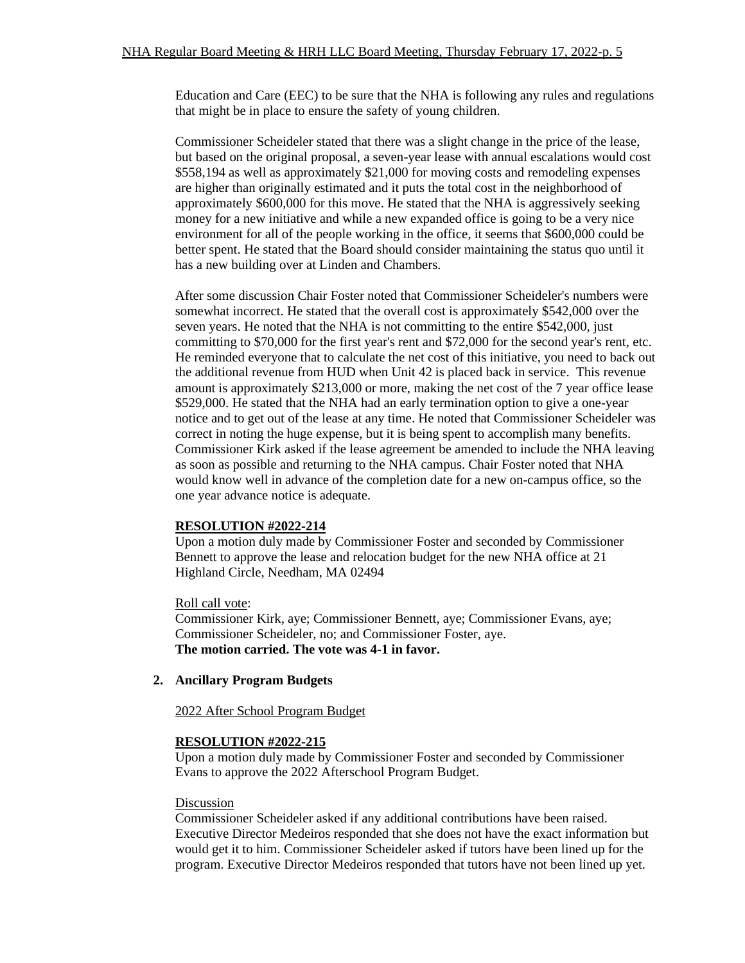Education and Care (EEC) to be sure that the NHA is following any rules and regulations that might be in place to ensure the safety of young children.

Commissioner Scheideler stated that there was a slight change in the price of the lease, but based on the original proposal, a seven-year lease with annual escalations would cost \$558,194 as well as approximately \$21,000 for moving costs and remodeling expenses are higher than originally estimated and it puts the total cost in the neighborhood of approximately \$600,000 for this move. He stated that the NHA is aggressively seeking money for a new initiative and while a new expanded office is going to be a very nice environment for all of the people working in the office, it seems that \$600,000 could be better spent. He stated that the Board should consider maintaining the status quo until it has a new building over at Linden and Chambers.

After some discussion Chair Foster noted that Commissioner Scheideler's numbers were somewhat incorrect. He stated that the overall cost is approximately \$542,000 over the seven years. He noted that the NHA is not committing to the entire \$542,000, just committing to \$70,000 for the first year's rent and \$72,000 for the second year's rent, etc. He reminded everyone that to calculate the net cost of this initiative, you need to back out the additional revenue from HUD when Unit 42 is placed back in service. This revenue amount is approximately \$213,000 or more, making the net cost of the 7 year office lease \$529,000. He stated that the NHA had an early termination option to give a one-year notice and to get out of the lease at any time. He noted that Commissioner Scheideler was correct in noting the huge expense, but it is being spent to accomplish many benefits. Commissioner Kirk asked if the lease agreement be amended to include the NHA leaving as soon as possible and returning to the NHA campus. Chair Foster noted that NHA would know well in advance of the completion date for a new on-campus office, so the one year advance notice is adequate.

## **RESOLUTION #2022-214**

Upon a motion duly made by Commissioner Foster and seconded by Commissioner Bennett to approve the lease and relocation budget for the new NHA office at 21 Highland Circle, Needham, MA 02494

## Roll call vote:

Commissioner Kirk, aye; Commissioner Bennett, aye; Commissioner Evans, aye; Commissioner Scheideler, no; and Commissioner Foster, aye. **The motion carried. The vote was 4-1 in favor.** 

#### **2. Ancillary Program Budgets**

#### 2022 After School Program Budget

#### **RESOLUTION #2022-215**

Upon a motion duly made by Commissioner Foster and seconded by Commissioner Evans to approve the 2022 Afterschool Program Budget.

#### Discussion

Commissioner Scheideler asked if any additional contributions have been raised. Executive Director Medeiros responded that she does not have the exact information but would get it to him. Commissioner Scheideler asked if tutors have been lined up for the program. Executive Director Medeiros responded that tutors have not been lined up yet.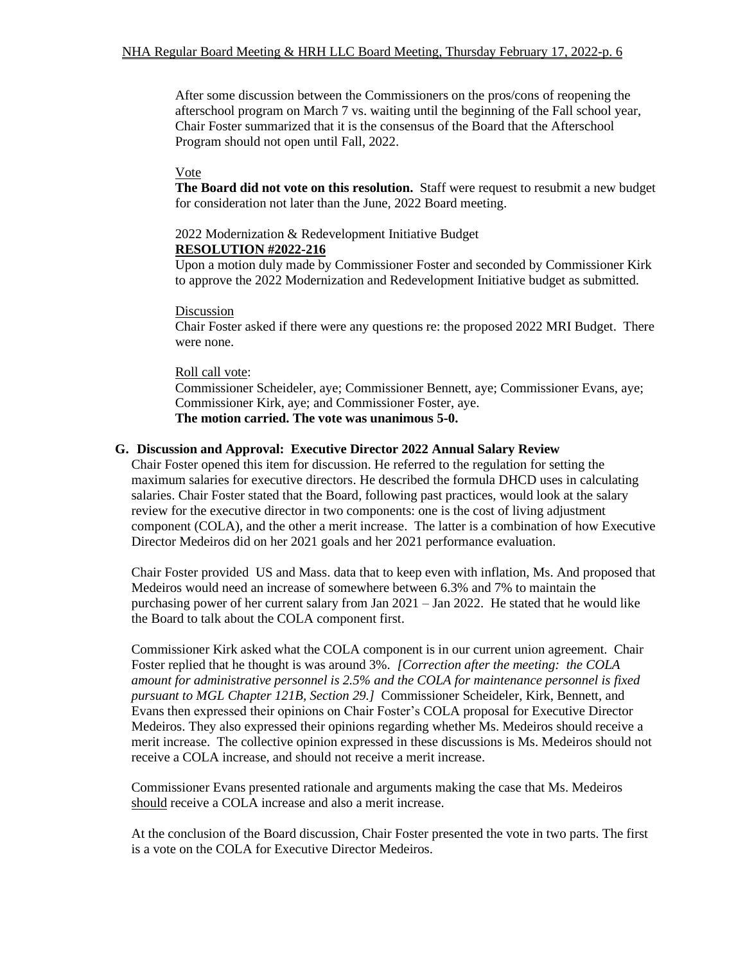After some discussion between the Commissioners on the pros/cons of reopening the afterschool program on March 7 vs. waiting until the beginning of the Fall school year, Chair Foster summarized that it is the consensus of the Board that the Afterschool Program should not open until Fall, 2022.

## Vote

**The Board did not vote on this resolution.** Staff were request to resubmit a new budget for consideration not later than the June, 2022 Board meeting.

## 2022 Modernization & Redevelopment Initiative Budget

## **RESOLUTION #2022-216**

Upon a motion duly made by Commissioner Foster and seconded by Commissioner Kirk to approve the 2022 Modernization and Redevelopment Initiative budget as submitted.

### Discussion

Chair Foster asked if there were any questions re: the proposed 2022 MRI Budget. There were none.

### Roll call vote:

Commissioner Scheideler, aye; Commissioner Bennett, aye; Commissioner Evans, aye; Commissioner Kirk, aye; and Commissioner Foster, aye. **The motion carried. The vote was unanimous 5-0.** 

## **G. Discussion and Approval: Executive Director 2022 Annual Salary Review**

Chair Foster opened this item for discussion. He referred to the regulation for setting the maximum salaries for executive directors. He described the formula DHCD uses in calculating salaries. Chair Foster stated that the Board, following past practices, would look at the salary review for the executive director in two components: one is the cost of living adjustment component (COLA), and the other a merit increase. The latter is a combination of how Executive Director Medeiros did on her 2021 goals and her 2021 performance evaluation.

Chair Foster provided US and Mass. data that to keep even with inflation, Ms. And proposed that Medeiros would need an increase of somewhere between 6.3% and 7% to maintain the purchasing power of her current salary from Jan 2021 – Jan 2022. He stated that he would like the Board to talk about the COLA component first.

Commissioner Kirk asked what the COLA component is in our current union agreement. Chair Foster replied that he thought is was around 3%. *[Correction after the meeting: the COLA*  amount for administrative personnel is 2.5% and the COLA for maintenance personnel is fixed *pursuant to MGL Chapter 121B, Section 29.]* Commissioner Scheideler, Kirk, Bennett, and Evans then expressed their opinions on Chair Foster's COLA proposal for Executive Director Medeiros. They also expressed their opinions regarding whether Ms. Medeiros should receive a merit increase. The collective opinion expressed in these discussions is Ms. Medeiros should not receive a COLA increase, and should not receive a merit increase.

Commissioner Evans presented rationale and arguments making the case that Ms. Medeiros should receive a COLA increase and also a merit increase.

At the conclusion of the Board discussion, Chair Foster presented the vote in two parts. The first is a vote on the COLA for Executive Director Medeiros.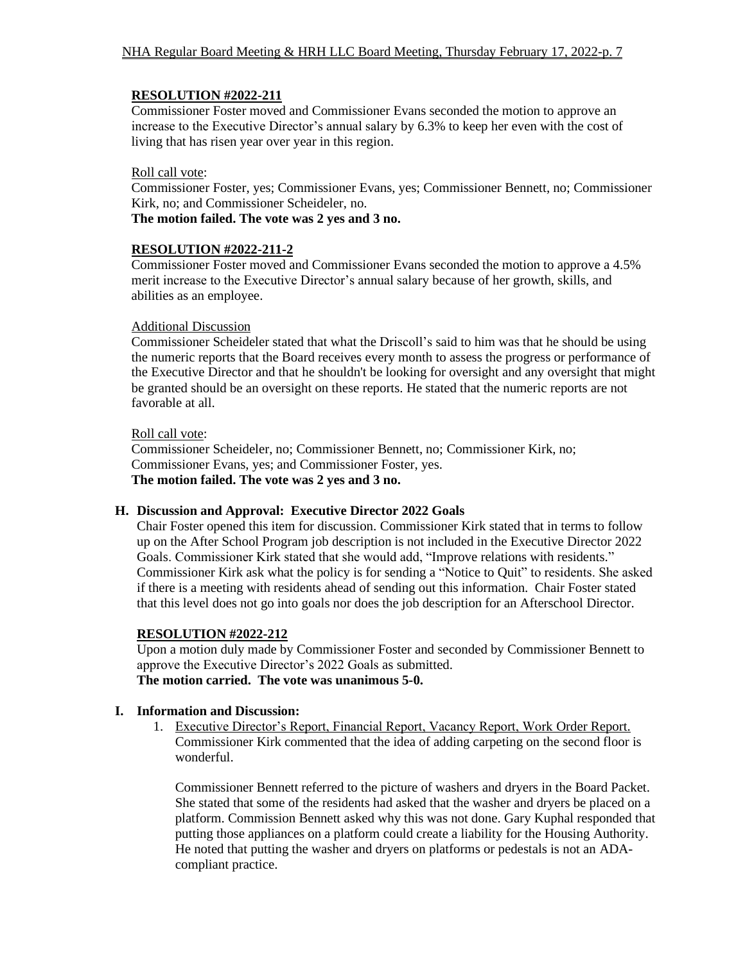## **RESOLUTION #2022-211**

Commissioner Foster moved and Commissioner Evans seconded the motion to approve an increase to the Executive Director's annual salary by 6.3% to keep her even with the cost of living that has risen year over year in this region.

## Roll call vote:

Commissioner Foster, yes; Commissioner Evans, yes; Commissioner Bennett, no; Commissioner Kirk, no; and Commissioner Scheideler, no.

**The motion failed. The vote was 2 yes and 3 no.**

## **RESOLUTION #2022-211-2**

Commissioner Foster moved and Commissioner Evans seconded the motion to approve a 4.5% merit increase to the Executive Director's annual salary because of her growth, skills, and abilities as an employee.

## Additional Discussion

Commissioner Scheideler stated that what the Driscoll's said to him was that he should be using the numeric reports that the Board receives every month to assess the progress or performance of the Executive Director and that he shouldn't be looking for oversight and any oversight that might be granted should be an oversight on these reports. He stated that the numeric reports are not favorable at all.

## Roll call vote:

Commissioner Scheideler, no; Commissioner Bennett, no; Commissioner Kirk, no; Commissioner Evans, yes; and Commissioner Foster, yes. **The motion failed. The vote was 2 yes and 3 no.**

# **H. Discussion and Approval: Executive Director 2022 Goals**

Chair Foster opened this item for discussion. Commissioner Kirk stated that in terms to follow up on the After School Program job description is not included in the Executive Director 2022 Goals. Commissioner Kirk stated that she would add, "Improve relations with residents." Commissioner Kirk ask what the policy is for sending a "Notice to Quit" to residents. She asked if there is a meeting with residents ahead of sending out this information. Chair Foster stated that this level does not go into goals nor does the job description for an Afterschool Director.

# **RESOLUTION #2022-212**

Upon a motion duly made by Commissioner Foster and seconded by Commissioner Bennett to approve the Executive Director's 2022 Goals as submitted. **The motion carried. The vote was unanimous 5-0.**

# **I. Information and Discussion:**

1. Executive Director's Report, Financial Report, Vacancy Report, Work Order Report. Commissioner Kirk commented that the idea of adding carpeting on the second floor is wonderful.

Commissioner Bennett referred to the picture of washers and dryers in the Board Packet. She stated that some of the residents had asked that the washer and dryers be placed on a platform. Commission Bennett asked why this was not done. Gary Kuphal responded that putting those appliances on a platform could create a liability for the Housing Authority. He noted that putting the washer and dryers on platforms or pedestals is not an ADAcompliant practice.